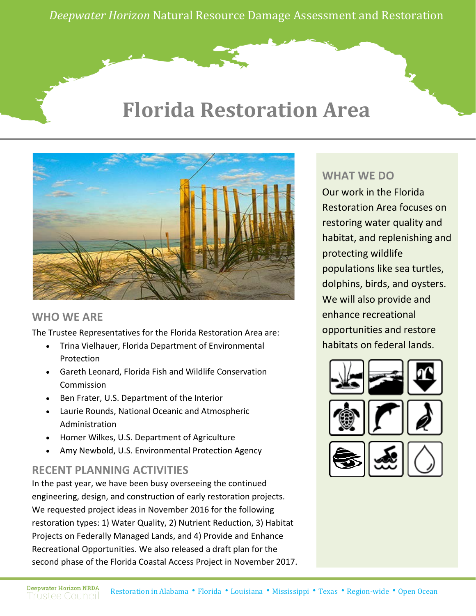*Deepwater Horizon* Natural Resource Damage Assessment and Restoration

# **Florida Restoration Area**



#### **WHO WE ARE**

The Trustee Representatives for the Florida Restoration Area are:

- Trina Vielhauer, Florida Department of Environmental Protection
- Gareth Leonard, Florida Fish and Wildlife Conservation Commission
- Ben Frater, U.S. Department of the Interior
- Laurie Rounds, National Oceanic and Atmospheric Administration
- Homer Wilkes, U.S. Department of Agriculture
- Amy Newbold, U.S. Environmental Protection Agency

#### **RECENT PLANNING ACTIVITIES**

In the past year, we have been busy overseeing the continued engineering, design, and construction of early restoration projects. We requested project ideas in November 2016 for the following restoration types: 1) Water Quality, 2) Nutrient Reduction, 3) Habitat Projects on Federally Managed Lands, and 4) Provide and Enhance Recreational Opportunities. We also released a draft plan for the second phase of the Florida Coastal Access Project in November 2017.

#### **WHAT WE DO**

Our work in the Florida Restoration Area focuses on restoring water quality and habitat, and replenishing and protecting wildlife populations like sea turtles, dolphins, birds, and oysters. We will also provide and enhance recreational opportunities and restore habitats on federal lands.

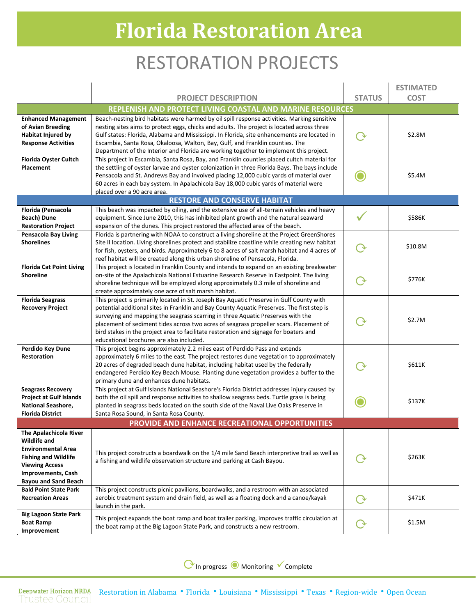# **Florida Restoration Area**

### RESTORATION PROJECTS

|                                                                                                                                                                                                |                                                                                                                                                                                                                                                                                                                                                                                                                                                                                                          |               | <b>ESTIMATED</b> |
|------------------------------------------------------------------------------------------------------------------------------------------------------------------------------------------------|----------------------------------------------------------------------------------------------------------------------------------------------------------------------------------------------------------------------------------------------------------------------------------------------------------------------------------------------------------------------------------------------------------------------------------------------------------------------------------------------------------|---------------|------------------|
|                                                                                                                                                                                                | <b>PROJECT DESCRIPTION</b>                                                                                                                                                                                                                                                                                                                                                                                                                                                                               | <b>STATUS</b> | <b>COST</b>      |
|                                                                                                                                                                                                | REPLENISH AND PROTECT LIVING COASTAL AND MARINE RESOURCES                                                                                                                                                                                                                                                                                                                                                                                                                                                |               |                  |
| <b>Enhanced Management</b><br>of Avian Breeding<br><b>Habitat Injured by</b><br><b>Response Activities</b>                                                                                     | Beach-nesting bird habitats were harmed by oil spill response activities. Marking sensitive<br>nesting sites aims to protect eggs, chicks and adults. The project is located across three<br>Gulf states: Florida, Alabama and Mississippi. In Florida, site enhancements are located in<br>Escambia, Santa Rosa, Okaloosa, Walton, Bay, Gulf, and Franklin counties. The<br>Department of the Interior and Florida are working together to implement this project.                                      |               | \$2.8M           |
| <b>Florida Oyster Cultch</b><br><b>Placement</b>                                                                                                                                               | This project in Escambia, Santa Rosa, Bay, and Franklin counties placed cultch material for<br>the settling of oyster larvae and oyster colonization in three Florida Bays. The bays include<br>Pensacola and St. Andrews Bay and involved placing 12,000 cubic yards of material over<br>60 acres in each bay system. In Apalachicola Bay 18,000 cubic yards of material were<br>placed over a 90 acre area.                                                                                            |               | \$5.4M           |
|                                                                                                                                                                                                | <b>RESTORE AND CONSERVE HABITAT</b>                                                                                                                                                                                                                                                                                                                                                                                                                                                                      |               |                  |
| Florida (Pensacola<br>Beach) Dune<br><b>Restoration Project</b>                                                                                                                                | This beach was impacted by oiling, and the extensive use of all-terrain vehicles and heavy<br>equipment. Since June 2010, this has inhibited plant growth and the natural seaward<br>expansion of the dunes. This project restored the affected area of the beach.                                                                                                                                                                                                                                       |               | \$586K           |
| <b>Pensacola Bay Living</b><br><b>Shorelines</b>                                                                                                                                               | Florida is partnering with NOAA to construct a living shoreline at the Project GreenShores<br>Site II location. Living shorelines protect and stabilize coastline while creating new habitat<br>for fish, oysters, and birds. Approximately 6 to 8 acres of salt marsh habitat and 4 acres of<br>reef habitat will be created along this urban shoreline of Pensacola, Florida.                                                                                                                          |               | \$10.8M          |
| <b>Florida Cat Point Living</b><br><b>Shoreline</b>                                                                                                                                            | This project is located in Franklin County and intends to expand on an existing breakwater<br>on-site of the Apalachicola National Estuarine Research Reserve in Eastpoint. The living<br>shoreline technique will be employed along approximately 0.3 mile of shoreline and<br>create approximately one acre of salt marsh habitat.                                                                                                                                                                     |               | \$776K           |
| <b>Florida Seagrass</b><br><b>Recovery Project</b>                                                                                                                                             | This project is primarily located in St. Joseph Bay Aquatic Preserve in Gulf County with<br>potential additional sites in Franklin and Bay County Aquatic Preserves. The first step is<br>surveying and mapping the seagrass scarring in three Aquatic Preserves with the<br>placement of sediment tides across two acres of seagrass propeller scars. Placement of<br>bird stakes in the project area to facilitate restoration and signage for boaters and<br>educational brochures are also included. |               | \$2.7M           |
| Perdido Key Dune<br><b>Restoration</b>                                                                                                                                                         | This project begins approximately 2.2 miles east of Perdido Pass and extends<br>approximately 6 miles to the east. The project restores dune vegetation to approximately<br>20 acres of degraded beach dune habitat, including habitat used by the federally<br>endangered Perdido Key Beach Mouse. Planting dune vegetation provides a buffer to the<br>primary dune and enhances dune habitats.                                                                                                        |               | \$611K           |
| <b>Seagrass Recovery</b><br><b>Project at Gulf Islands</b><br><b>National Seashore,</b><br><b>Florida District</b>                                                                             | This project at Gulf Islands National Seashore's Florida District addresses injury caused by<br>both the oil spill and response activities to shallow seagrass beds. Turtle grass is being<br>planted in seagrass beds located on the south side of the Naval Live Oaks Preserve in<br>Santa Rosa Sound, in Santa Rosa County.                                                                                                                                                                           |               | \$137K           |
|                                                                                                                                                                                                | PROVIDE AND ENHANCE RECREATIONAL OPPORTUNITIES                                                                                                                                                                                                                                                                                                                                                                                                                                                           |               |                  |
| The Apalachicola River<br><b>Wildlife and</b><br><b>Environmental Area</b><br><b>Fishing and Wildlife</b><br><b>Viewing Access</b><br><b>Improvements, Cash</b><br><b>Bayou and Sand Beach</b> | This project constructs a boardwalk on the 1/4 mile Sand Beach interpretive trail as well as<br>a fishing and wildlife observation structure and parking at Cash Bayou.                                                                                                                                                                                                                                                                                                                                  |               | \$263K           |
| <b>Bald Point State Park</b><br><b>Recreation Areas</b>                                                                                                                                        | This project constructs picnic pavilions, boardwalks, and a restroom with an associated<br>aerobic treatment system and drain field, as well as a floating dock and a canoe/kayak<br>launch in the park.                                                                                                                                                                                                                                                                                                 |               | \$471K           |
| <b>Big Lagoon State Park</b><br><b>Boat Ramp</b><br>Improvement                                                                                                                                | This project expands the boat ramp and boat trailer parking, improves traffic circulation at<br>the boat ramp at the Big Lagoon State Park, and constructs a new restroom.                                                                                                                                                                                                                                                                                                                               | ( ক           | \$1.5M           |

⟳In progress ◉ Monitoring Complete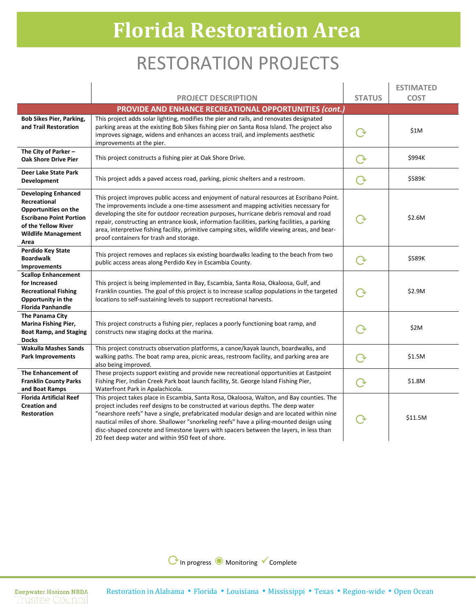# **Florida Restoration Area**

### RESTORATION PROJECTS

|                                                                                                                                                                   |                                                                                                                                                                                                                                                                                                                                                                                                                                                                                                                            |               | <b>ESTIMATED</b> |
|-------------------------------------------------------------------------------------------------------------------------------------------------------------------|----------------------------------------------------------------------------------------------------------------------------------------------------------------------------------------------------------------------------------------------------------------------------------------------------------------------------------------------------------------------------------------------------------------------------------------------------------------------------------------------------------------------------|---------------|------------------|
|                                                                                                                                                                   | <b>PROJECT DESCRIPTION</b>                                                                                                                                                                                                                                                                                                                                                                                                                                                                                                 | <b>STATUS</b> | <b>COST</b>      |
|                                                                                                                                                                   | PROVIDE AND ENHANCE RECREATIONAL OPPORTUNITIES (cont.)                                                                                                                                                                                                                                                                                                                                                                                                                                                                     |               |                  |
| <b>Bob Sikes Pier, Parking,</b><br>and Trail Restoration                                                                                                          | This project adds solar lighting, modifies the pier and rails, and renovates designated<br>parking areas at the existing Bob Sikes fishing pier on Santa Rosa Island. The project also<br>improves signage, widens and enhances an access trail, and implements aesthetic<br>improvements at the pier.                                                                                                                                                                                                                     |               | \$1M             |
| The City of Parker -<br><b>Oak Shore Drive Pier</b>                                                                                                               | This project constructs a fishing pier at Oak Shore Drive.                                                                                                                                                                                                                                                                                                                                                                                                                                                                 | ( →           | \$994K           |
| Deer Lake State Park<br>Development                                                                                                                               | This project adds a paved access road, parking, picnic shelters and a restroom.                                                                                                                                                                                                                                                                                                                                                                                                                                            | $\rm{O}$      | \$589K           |
| <b>Developing Enhanced</b><br>Recreational<br>Opportunities on the<br><b>Escribano Point Portion</b><br>of the Yellow River<br><b>Wildlife Management</b><br>Area | This project improves public access and enjoyment of natural resources at Escribano Point.<br>The improvements include a one-time assessment and mapping activities necessary for<br>developing the site for outdoor recreation purposes, hurricane debris removal and road<br>repair, constructing an entrance kiosk, information facilities, parking facilities, a parking<br>area, interpretive fishing facility, primitive camping sites, wildlife viewing areas, and bear-<br>proof containers for trash and storage. |               | \$2.6M           |
| Perdido Key State<br><b>Boardwalk</b><br><b>Improvements</b>                                                                                                      | This project removes and replaces six existing boardwalks leading to the beach from two<br>public access areas along Perdido Key in Escambia County.                                                                                                                                                                                                                                                                                                                                                                       | ( →           | \$589K           |
| <b>Scallop Enhancement</b><br>for Increased<br><b>Recreational Fishing</b><br>Opportunity in the<br><b>Florida Panhandle</b>                                      | This project is being implemented in Bay, Escambia, Santa Rosa, Okaloosa, Gulf, and<br>Franklin counties. The goal of this project is to increase scallop populations in the targeted<br>locations to self-sustaining levels to support recreational harvests.                                                                                                                                                                                                                                                             |               | \$2.9M           |
| The Panama City<br>Marina Fishing Pier,<br><b>Boat Ramp, and Staging</b><br><b>Docks</b>                                                                          | This project constructs a fishing pier, replaces a poorly functioning boat ramp, and<br>constructs new staging docks at the marina.                                                                                                                                                                                                                                                                                                                                                                                        |               | \$2M             |
| <b>Wakulla Mashes Sands</b><br><b>Park Improvements</b>                                                                                                           | This project constructs observation platforms, a canoe/kayak launch, boardwalks, and<br>walking paths. The boat ramp area, picnic areas, restroom facility, and parking area are<br>also being improved.                                                                                                                                                                                                                                                                                                                   |               | \$1.5M           |
| The Enhancement of<br><b>Franklin County Parks</b><br>and Boat Ramps                                                                                              | These projects support existing and provide new recreational opportunities at Eastpoint<br>Fishing Pier, Indian Creek Park boat launch facility, St. George Island Fishing Pier,<br>Waterfront Park in Apalachicola.                                                                                                                                                                                                                                                                                                       | $\Omega$      | \$1.8M           |
| <b>Florida Artificial Reef</b><br><b>Creation and</b><br>Restoration                                                                                              | This project takes place in Escambia, Santa Rosa, Okaloosa, Walton, and Bay counties. The<br>project includes reef designs to be constructed at various depths. The deep water<br>"nearshore reefs" have a single, prefabricated modular design and are located within nine<br>nautical miles of shore. Shallower "snorkeling reefs" have a piling-mounted design using<br>disc-shaped concrete and limestone layers with spacers between the layers, in less than<br>20 feet deep water and within 950 feet of shore.     |               | \$11.5M          |

⟳In progress ◉ Monitoring Complete